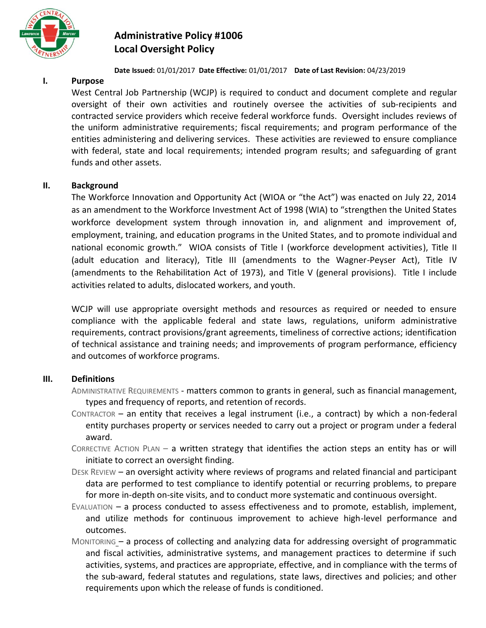

# **Administrative Policy #1006 Local Oversight Policy**

#### **Date Issued:** 01/01/2017 **Date Effective:** 01/01/2017 **Date of Last Revision:** 04/23/2019

## **I. Purpose**

West Central Job Partnership (WCJP) is required to conduct and document complete and regular oversight of their own activities and routinely oversee the activities of sub-recipients and contracted service providers which receive federal workforce funds. Oversight includes reviews of the uniform administrative requirements; fiscal requirements; and program performance of the entities administering and delivering services. These activities are reviewed to ensure compliance with federal, state and local requirements; intended program results; and safeguarding of grant funds and other assets.

## **II. Background**

The Workforce Innovation and Opportunity Act (WIOA or "the Act") was enacted on July 22, 2014 as an amendment to the Workforce Investment Act of 1998 (WIA) to "strengthen the United States workforce development system through innovation in, and alignment and improvement of, employment, training, and education programs in the United States, and to promote individual and national economic growth." WIOA consists of Title I (workforce development activities), Title II (adult education and literacy), Title III (amendments to the Wagner-Peyser Act), Title IV (amendments to the Rehabilitation Act of 1973), and Title V (general provisions). Title I include activities related to adults, dislocated workers, and youth.

WCJP will use appropriate oversight methods and resources as required or needed to ensure compliance with the applicable federal and state laws, regulations, uniform administrative requirements, contract provisions/grant agreements, timeliness of corrective actions; identification of technical assistance and training needs; and improvements of program performance, efficiency and outcomes of workforce programs.

## **III. Definitions**

- ADMINISTRATIVE REQUIREMENTS matters common to grants in general, such as financial management, types and frequency of reports, and retention of records.
- CONTRACTOR an entity that receives a legal instrument (i.e., a contract) by which a non-federal entity purchases property or services needed to carry out a project or program under a federal award.
- CORRECTIVE ACTION PLAN  $-$  a written strategy that identifies the action steps an entity has or will initiate to correct an oversight finding.
- DESK REVIEW an oversight activity where reviews of programs and related financial and participant data are performed to test compliance to identify potential or recurring problems, to prepare for more in-depth on-site visits, and to conduct more systematic and continuous oversight.
- EVALUATION a process conducted to assess effectiveness and to promote, establish, implement, and utilize methods for continuous improvement to achieve high-level performance and outcomes.
- MONITORING a process of collecting and analyzing data for addressing oversight of programmatic and fiscal activities, administrative systems, and management practices to determine if such activities, systems, and practices are appropriate, effective, and in compliance with the terms of the sub-award, federal statutes and regulations, state laws, directives and policies; and other requirements upon which the release of funds is conditioned.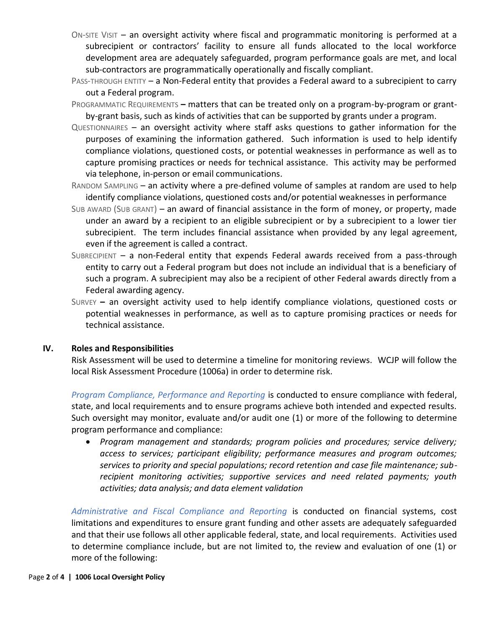- ON-SITE VISIT an oversight activity where fiscal and programmatic monitoring is performed at a subrecipient or contractors' facility to ensure all funds allocated to the local workforce development area are adequately safeguarded, program performance goals are met, and local sub-contractors are programmatically operationally and fiscally compliant.
- PASS-THROUGH ENTITY a Non-Federal entity that provides a Federal award to a subrecipient to carry out a Federal program.
- PROGRAMMATIC REQUIREMENTS **–** matters that can be treated only on a program-by-program or grantby-grant basis, such as kinds of activities that can be supported by grants under a program.
- QUESTIONNAIRES an oversight activity where staff asks questions to gather information for the purposes of examining the information gathered. Such information is used to help identify compliance violations, questioned costs, or potential weaknesses in performance as well as to capture promising practices or needs for technical assistance. This activity may be performed via telephone, in-person or email communications.
- RANDOM SAMPLING an activity where a pre-defined volume of samples at random are used to help identify compliance violations, questioned costs and/or potential weaknesses in performance
- SUB AWARD (SUB GRANT) an award of financial assistance in the form of money, or property, made under an award by a recipient to an eligible subrecipient or by a subrecipient to a lower tier subrecipient. The term includes financial assistance when provided by any legal agreement, even if the agreement is called a contract.
- SUBRECIPIENT a non-Federal entity that expends Federal awards received from a pass-through entity to carry out a Federal program but does not include an individual that is a beneficiary of such a program. A subrecipient may also be a recipient of other Federal awards directly from a Federal awarding agency.
- SURVEY **–** an oversight activity used to help identify compliance violations, questioned costs or potential weaknesses in performance, as well as to capture promising practices or needs for technical assistance.

#### **IV. Roles and Responsibilities**

Risk Assessment will be used to determine a timeline for monitoring reviews. WCJP will follow the local Risk Assessment Procedure (1006a) in order to determine risk.

*Program Compliance, Performance and Reporting* is conducted to ensure compliance with federal, state, and local requirements and to ensure programs achieve both intended and expected results. Such oversight may monitor, evaluate and/or audit one (1) or more of the following to determine program performance and compliance:

• *Program management and standards; program policies and procedures; service delivery; access to services; participant eligibility; performance measures and program outcomes; services to priority and special populations; record retention and case file maintenance; subrecipient monitoring activities; supportive services and need related payments; youth activities; data analysis; and data element validation*

*Administrative and Fiscal Compliance and Reporting* is conducted on financial systems, cost limitations and expenditures to ensure grant funding and other assets are adequately safeguarded and that their use follows all other applicable federal, state, and local requirements. Activities used to determine compliance include, but are not limited to, the review and evaluation of one (1) or more of the following: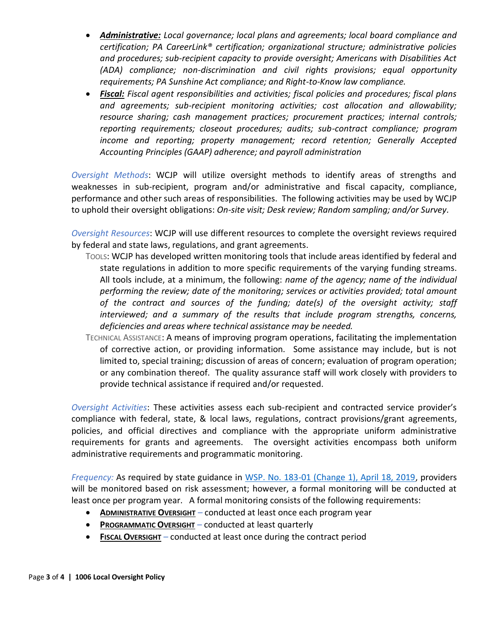- *Administrative: Local governance; local plans and agreements; local board compliance and certification; PA CareerLink® certification; organizational structure; administrative policies and procedures; sub-recipient capacity to provide oversight; Americans with Disabilities Act (ADA) compliance; non-discrimination and civil rights provisions; equal opportunity requirements; PA Sunshine Act compliance; and Right-to-Know law compliance.*
- *Fiscal: Fiscal agent responsibilities and activities; fiscal policies and procedures; fiscal plans and agreements; sub-recipient monitoring activities; cost allocation and allowability; resource sharing; cash management practices; procurement practices; internal controls; reporting requirements; closeout procedures; audits; sub-contract compliance; program income and reporting; property management; record retention; Generally Accepted Accounting Principles (GAAP) adherence; and payroll administration*

*Oversight Methods*: WCJP will utilize oversight methods to identify areas of strengths and weaknesses in sub-recipient, program and/or administrative and fiscal capacity, compliance, performance and other such areas of responsibilities. The following activities may be used by WCJP to uphold their oversight obligations: *On-site visit; Desk review; Random sampling; and/or Survey.*

*Oversight Resources*: WCJP will use different resources to complete the oversight reviews required by federal and state laws, regulations, and grant agreements.

- TOOLS: WCJP has developed written monitoring tools that include areas identified by federal and state regulations in addition to more specific requirements of the varying funding streams. All tools include, at a minimum, the following: *name of the agency; name of the individual performing the review; date of the monitoring; services or activities provided; total amount of the contract and sources of the funding; date(s) of the oversight activity; staff interviewed; and a summary of the results that include program strengths, concerns, deficiencies and areas where technical assistance may be needed.*
- TECHNICAL ASSISTANCE: A means of improving program operations, facilitating the implementation of corrective action, or providing information. Some assistance may include, but is not limited to, special training; discussion of areas of concern; evaluation of program operation; or any combination thereof. The quality assurance staff will work closely with providers to provide technical assistance if required and/or requested.

*Oversight Activities*: These activities assess each sub-recipient and contracted service provider's compliance with federal, state, & local laws, regulations, contract provisions/grant agreements, policies, and official directives and compliance with the appropriate uniform administrative requirements for grants and agreements. The oversight activities encompass both uniform administrative requirements and programmatic monitoring.

*Frequency:* As required by state guidance in [WSP. No. 183-01 \(Change 1\), April 18, 2019,](https://www.dli.pa.gov/Businesses/Workforce-Development/Documents/Directives/WSP%20No.%20183-01%20(C1).pdf) providers will be monitored based on risk assessment; however, a formal monitoring will be conducted at least once per program year. A formal monitoring consists of the following requirements:

- **ADMINISTRATIVE OVERSIGHT** *–* conducted at least once each program year
- **PROGRAMMATIC OVERSIGHT** *–* conducted at least quarterly
- **FISCAL OVERSIGHT** *–* conducted at least once during the contract period